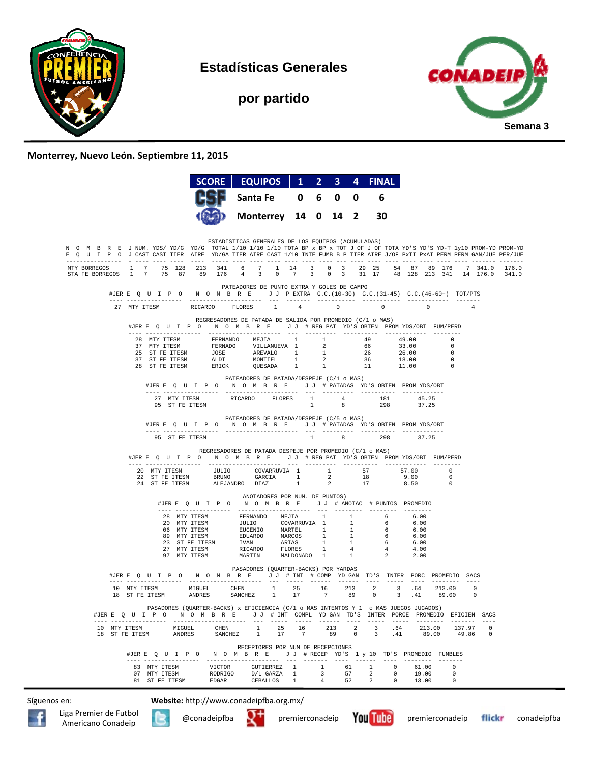

**Estadísticas Generales** 

**por partido** 



## **Monterrey, Nuevo León. Septiembre 11, 2015**

| Santa Fe<br>6.<br>0<br>6<br>0<br>0<br>$14$   2  <br>30<br><b>Monterrey</b><br>14<br>0 I<br>ESTADISTICAS GENERALES DE LOS EQUIPOS (ACUMULADAS)<br>N O M B R E J NUM. YDS/YD/G YD/G TOTAL 1/10 1/10 1/10 TOTA BP x BP x TOT J OF J OF TOTA YD'S YD'S YD-T 1y10 PROM-YD PROM-YD<br>E Q U I P O J CAST CAST TIER AIRE YD/GA TIER AIRE CAST 1/10 INTE FUMB B P TIER AIRE J/OF PxTI PxAI PERM PERM GAN/JUE PER/JUE<br>MTY BORREGOS 1 7 75 128 213 341 6 7 1 14 3 0 3 29 25 54 87 89 176 7 341.0 176.0<br>STAFE BORREGOS 1 7 75 87 89 176 4 3 0 7 3 0 3 31 17 48 128 213 341 14 176.0 341.0<br>PATEADORES DE PUNTO EXTRA Y GOLES DE CAMPO<br>#JERE OUIPO NOMBRE JJPEXTRA G.C. (10-30) G.C. (31-45) G.C. (46-60+) TOT/PTS<br>27 MTY ITESM RICARDO FLORES 1 4 0 0 0 0<br>REGRESADORES DE PATADA DE SALIDA POR PROMEDIO (C/1 o MAS)<br>#JERE Q U I P O N O M B R E J J # REG PAT YD'S OBTEN PROMYDS/OBT FUM/PERD<br>28 MTY ITESM FERNANDO MEJIA 1 1<br>49<br>49.00<br>$\Omega$<br>$\overline{0}$<br>$\overline{0}$<br>$\overline{\phantom{0}}$<br>PATEADORES DE PATADA/DESPEJE (C/1 o MAS)<br>#JERE QUIPO NOMBRE JJ # PATADAS YD'S OBTEN PROMYDS/OBT<br>27 MTY ITESM<br>RICARDO FLORES 1<br>$\begin{array}{ccc} 4 & 181 \\ 0 & 298 \end{array}$<br>45.25<br>37.25<br>1<br>95 ST FE ITESM<br>$_{\rm 8}$<br>PATEADORES DE PATADA/DESPEJE (C/5 o MAS)<br>#JERE QUIPO NOMBRE JJ # PATADAS YD'S OBTEN PROMYDS/OBT<br>$1 \qquad \qquad$<br>298<br>8<br>37.25<br>95 ST FE ITESM<br>REGRESADORES DE PATADA DESPEJE POR PROMEDIO (C/1 o MAS)<br>#JERE Q U I P O N O M B R E J J # REG PAT YD'S OBTEN PROMYDS/OBT FUM/PERD<br>$\begin{tabular}{cccccccc} 20 & MTY TTESM & & & \textit{JULIO} & & \textit{COVARRUVIA} & 1 & & 1 & & 57 & & 57.00 & & 0 \\ 22 & ST FE TTESM & & & BRUNO & & \textit{GARCH} & 1 & 2 & 18 & 9.00 & & 0 \\ 24 & ST FE TTESM & & & & \textit{ALEJANDRO} & \textit{DIAZ} & & 1 & & 2 & 17 & & 8.50 & & 0 \\ \end{tabular}$<br>ANOTADORES POR NUM. DE PUNTOS)<br>#JERE QUIPO NOMBRE JJ # ANOTAC # PUNTOS PROMEDIO<br>28 MTY ITESM FERNANDO MEJIA 1 1 6<br>28 MTY ITESM JULIO COVARRUVIA 1 1 6<br>06 MTY ITESM EUGENIO MARTEL 1 1 6<br>06 MTY ITESM EUGENIO MARTEL 1 1 6<br>27 MTY ITESM EUGENIO MARCOS 1 1 6<br>27 MTY ITESM IVAN ARIAS 1 1 6<br>27 MTY ITESM R<br>6.00<br>6.00<br>6.00<br>6.00<br>6.00<br>4.00<br>2.00<br>PASADORES (OUARTER-BACKS) POR YARDAS<br>#JERE QUIPON OMBRE JJ # INT # COMPYDGAN TD'S INTER PORC PROMEDIO SACS<br>10 MTY ITESM MIGUEL CHEN 1 25 16 213 2 3 .64 213.00 0<br>ANDRES SANCHEZ 1 17 7 89 0<br>18 ST FE ITESM<br>3 .41 89.00 0<br>PASADORES (QUARTER-BACKS) x EFICIENCIA (C/1 o MAS INTENTOS Y 1 o MAS JUEGOS JUGADOS)<br>#JERE Q U I P O N O M B R E J J # INT COMPL YDGAN TD'S INTER PORCE PROMEDIO EFICIEN SACS<br>------ ----- --------- ------- ---<br>CHEN $1$<br>$\begin{minipage}{0.9\linewidth} \hbox{\texttt{MTY}} \hspace{0.2cm} \texttt{ITESM} \hspace{2.2cm} \texttt{MIGUEL} \end{minipage}$<br>16<br>213 2 3 .64 213.00 137.97<br>25<br>$\mathbf{0}$<br>SANCHEZ 1 17 7<br>89 0 3 .41 89.00 49.86 0<br>18 ST FE ITESM<br><b>ANDRES</b><br>RECEPTORES POR NUM DE RECEPCIONES<br>#JERE QUIPO NOMBRE JJ #RECEP YD'S 1 y 10 TD'S PROMEDIO FUMBLES | <b>SCORE</b> | <b>EQUIPOS</b> | $\mathbf{1}$ | $\overline{2}$ | 3. | 4 | <b>FINAL</b> |  |  |
|----------------------------------------------------------------------------------------------------------------------------------------------------------------------------------------------------------------------------------------------------------------------------------------------------------------------------------------------------------------------------------------------------------------------------------------------------------------------------------------------------------------------------------------------------------------------------------------------------------------------------------------------------------------------------------------------------------------------------------------------------------------------------------------------------------------------------------------------------------------------------------------------------------------------------------------------------------------------------------------------------------------------------------------------------------------------------------------------------------------------------------------------------------------------------------------------------------------------------------------------------------------------------------------------------------------------------------------------------------------------------------------------------------------------------------------------------------------------------------------------------------------------------------------------------------------------------------------------------------------------------------------------------------------------------------------------------------------------------------------------------------------------------------------------------------------------------------------------------------------------------------------------------------------------------------------------------------------------------------------------------------------------------------------------------------------------------------------------------------------------------------------------------------------------------------------------------------------------------------------------------------------------------------------------------------------------------------------------------------------------------------------------------------------------------------------------------------------------------------------------------------------------------------------------------------------------------------------------------------------------------------------------------------------------------------------------------------------------------------------------------------------------------------------------------------------------------------------------------------------------------------------------------------------------------------------------------------------------------------------------------------------------------------------------------------------------------------------------------------------------------------------------------------------------------------------------------|--------------|----------------|--------------|----------------|----|---|--------------|--|--|
|                                                                                                                                                                                                                                                                                                                                                                                                                                                                                                                                                                                                                                                                                                                                                                                                                                                                                                                                                                                                                                                                                                                                                                                                                                                                                                                                                                                                                                                                                                                                                                                                                                                                                                                                                                                                                                                                                                                                                                                                                                                                                                                                                                                                                                                                                                                                                                                                                                                                                                                                                                                                                                                                                                                                                                                                                                                                                                                                                                                                                                                                                                                                                                                                    |              |                |              |                |    |   |              |  |  |
|                                                                                                                                                                                                                                                                                                                                                                                                                                                                                                                                                                                                                                                                                                                                                                                                                                                                                                                                                                                                                                                                                                                                                                                                                                                                                                                                                                                                                                                                                                                                                                                                                                                                                                                                                                                                                                                                                                                                                                                                                                                                                                                                                                                                                                                                                                                                                                                                                                                                                                                                                                                                                                                                                                                                                                                                                                                                                                                                                                                                                                                                                                                                                                                                    |              |                |              |                |    |   |              |  |  |
|                                                                                                                                                                                                                                                                                                                                                                                                                                                                                                                                                                                                                                                                                                                                                                                                                                                                                                                                                                                                                                                                                                                                                                                                                                                                                                                                                                                                                                                                                                                                                                                                                                                                                                                                                                                                                                                                                                                                                                                                                                                                                                                                                                                                                                                                                                                                                                                                                                                                                                                                                                                                                                                                                                                                                                                                                                                                                                                                                                                                                                                                                                                                                                                                    |              |                |              |                |    |   |              |  |  |
|                                                                                                                                                                                                                                                                                                                                                                                                                                                                                                                                                                                                                                                                                                                                                                                                                                                                                                                                                                                                                                                                                                                                                                                                                                                                                                                                                                                                                                                                                                                                                                                                                                                                                                                                                                                                                                                                                                                                                                                                                                                                                                                                                                                                                                                                                                                                                                                                                                                                                                                                                                                                                                                                                                                                                                                                                                                                                                                                                                                                                                                                                                                                                                                                    |              |                |              |                |    |   |              |  |  |
|                                                                                                                                                                                                                                                                                                                                                                                                                                                                                                                                                                                                                                                                                                                                                                                                                                                                                                                                                                                                                                                                                                                                                                                                                                                                                                                                                                                                                                                                                                                                                                                                                                                                                                                                                                                                                                                                                                                                                                                                                                                                                                                                                                                                                                                                                                                                                                                                                                                                                                                                                                                                                                                                                                                                                                                                                                                                                                                                                                                                                                                                                                                                                                                                    |              |                |              |                |    |   |              |  |  |
|                                                                                                                                                                                                                                                                                                                                                                                                                                                                                                                                                                                                                                                                                                                                                                                                                                                                                                                                                                                                                                                                                                                                                                                                                                                                                                                                                                                                                                                                                                                                                                                                                                                                                                                                                                                                                                                                                                                                                                                                                                                                                                                                                                                                                                                                                                                                                                                                                                                                                                                                                                                                                                                                                                                                                                                                                                                                                                                                                                                                                                                                                                                                                                                                    |              |                |              |                |    |   |              |  |  |
|                                                                                                                                                                                                                                                                                                                                                                                                                                                                                                                                                                                                                                                                                                                                                                                                                                                                                                                                                                                                                                                                                                                                                                                                                                                                                                                                                                                                                                                                                                                                                                                                                                                                                                                                                                                                                                                                                                                                                                                                                                                                                                                                                                                                                                                                                                                                                                                                                                                                                                                                                                                                                                                                                                                                                                                                                                                                                                                                                                                                                                                                                                                                                                                                    |              |                |              |                |    |   |              |  |  |
|                                                                                                                                                                                                                                                                                                                                                                                                                                                                                                                                                                                                                                                                                                                                                                                                                                                                                                                                                                                                                                                                                                                                                                                                                                                                                                                                                                                                                                                                                                                                                                                                                                                                                                                                                                                                                                                                                                                                                                                                                                                                                                                                                                                                                                                                                                                                                                                                                                                                                                                                                                                                                                                                                                                                                                                                                                                                                                                                                                                                                                                                                                                                                                                                    |              |                |              |                |    |   |              |  |  |
|                                                                                                                                                                                                                                                                                                                                                                                                                                                                                                                                                                                                                                                                                                                                                                                                                                                                                                                                                                                                                                                                                                                                                                                                                                                                                                                                                                                                                                                                                                                                                                                                                                                                                                                                                                                                                                                                                                                                                                                                                                                                                                                                                                                                                                                                                                                                                                                                                                                                                                                                                                                                                                                                                                                                                                                                                                                                                                                                                                                                                                                                                                                                                                                                    |              |                |              |                |    |   |              |  |  |
|                                                                                                                                                                                                                                                                                                                                                                                                                                                                                                                                                                                                                                                                                                                                                                                                                                                                                                                                                                                                                                                                                                                                                                                                                                                                                                                                                                                                                                                                                                                                                                                                                                                                                                                                                                                                                                                                                                                                                                                                                                                                                                                                                                                                                                                                                                                                                                                                                                                                                                                                                                                                                                                                                                                                                                                                                                                                                                                                                                                                                                                                                                                                                                                                    |              |                |              |                |    |   |              |  |  |
|                                                                                                                                                                                                                                                                                                                                                                                                                                                                                                                                                                                                                                                                                                                                                                                                                                                                                                                                                                                                                                                                                                                                                                                                                                                                                                                                                                                                                                                                                                                                                                                                                                                                                                                                                                                                                                                                                                                                                                                                                                                                                                                                                                                                                                                                                                                                                                                                                                                                                                                                                                                                                                                                                                                                                                                                                                                                                                                                                                                                                                                                                                                                                                                                    |              |                |              |                |    |   |              |  |  |
|                                                                                                                                                                                                                                                                                                                                                                                                                                                                                                                                                                                                                                                                                                                                                                                                                                                                                                                                                                                                                                                                                                                                                                                                                                                                                                                                                                                                                                                                                                                                                                                                                                                                                                                                                                                                                                                                                                                                                                                                                                                                                                                                                                                                                                                                                                                                                                                                                                                                                                                                                                                                                                                                                                                                                                                                                                                                                                                                                                                                                                                                                                                                                                                                    |              |                |              |                |    |   |              |  |  |
|                                                                                                                                                                                                                                                                                                                                                                                                                                                                                                                                                                                                                                                                                                                                                                                                                                                                                                                                                                                                                                                                                                                                                                                                                                                                                                                                                                                                                                                                                                                                                                                                                                                                                                                                                                                                                                                                                                                                                                                                                                                                                                                                                                                                                                                                                                                                                                                                                                                                                                                                                                                                                                                                                                                                                                                                                                                                                                                                                                                                                                                                                                                                                                                                    |              |                |              |                |    |   |              |  |  |
|                                                                                                                                                                                                                                                                                                                                                                                                                                                                                                                                                                                                                                                                                                                                                                                                                                                                                                                                                                                                                                                                                                                                                                                                                                                                                                                                                                                                                                                                                                                                                                                                                                                                                                                                                                                                                                                                                                                                                                                                                                                                                                                                                                                                                                                                                                                                                                                                                                                                                                                                                                                                                                                                                                                                                                                                                                                                                                                                                                                                                                                                                                                                                                                                    |              |                |              |                |    |   |              |  |  |
|                                                                                                                                                                                                                                                                                                                                                                                                                                                                                                                                                                                                                                                                                                                                                                                                                                                                                                                                                                                                                                                                                                                                                                                                                                                                                                                                                                                                                                                                                                                                                                                                                                                                                                                                                                                                                                                                                                                                                                                                                                                                                                                                                                                                                                                                                                                                                                                                                                                                                                                                                                                                                                                                                                                                                                                                                                                                                                                                                                                                                                                                                                                                                                                                    |              |                |              |                |    |   |              |  |  |
|                                                                                                                                                                                                                                                                                                                                                                                                                                                                                                                                                                                                                                                                                                                                                                                                                                                                                                                                                                                                                                                                                                                                                                                                                                                                                                                                                                                                                                                                                                                                                                                                                                                                                                                                                                                                                                                                                                                                                                                                                                                                                                                                                                                                                                                                                                                                                                                                                                                                                                                                                                                                                                                                                                                                                                                                                                                                                                                                                                                                                                                                                                                                                                                                    |              |                |              |                |    |   |              |  |  |
|                                                                                                                                                                                                                                                                                                                                                                                                                                                                                                                                                                                                                                                                                                                                                                                                                                                                                                                                                                                                                                                                                                                                                                                                                                                                                                                                                                                                                                                                                                                                                                                                                                                                                                                                                                                                                                                                                                                                                                                                                                                                                                                                                                                                                                                                                                                                                                                                                                                                                                                                                                                                                                                                                                                                                                                                                                                                                                                                                                                                                                                                                                                                                                                                    |              |                |              |                |    |   |              |  |  |
|                                                                                                                                                                                                                                                                                                                                                                                                                                                                                                                                                                                                                                                                                                                                                                                                                                                                                                                                                                                                                                                                                                                                                                                                                                                                                                                                                                                                                                                                                                                                                                                                                                                                                                                                                                                                                                                                                                                                                                                                                                                                                                                                                                                                                                                                                                                                                                                                                                                                                                                                                                                                                                                                                                                                                                                                                                                                                                                                                                                                                                                                                                                                                                                                    |              |                |              |                |    |   |              |  |  |
|                                                                                                                                                                                                                                                                                                                                                                                                                                                                                                                                                                                                                                                                                                                                                                                                                                                                                                                                                                                                                                                                                                                                                                                                                                                                                                                                                                                                                                                                                                                                                                                                                                                                                                                                                                                                                                                                                                                                                                                                                                                                                                                                                                                                                                                                                                                                                                                                                                                                                                                                                                                                                                                                                                                                                                                                                                                                                                                                                                                                                                                                                                                                                                                                    |              |                |              |                |    |   |              |  |  |
|                                                                                                                                                                                                                                                                                                                                                                                                                                                                                                                                                                                                                                                                                                                                                                                                                                                                                                                                                                                                                                                                                                                                                                                                                                                                                                                                                                                                                                                                                                                                                                                                                                                                                                                                                                                                                                                                                                                                                                                                                                                                                                                                                                                                                                                                                                                                                                                                                                                                                                                                                                                                                                                                                                                                                                                                                                                                                                                                                                                                                                                                                                                                                                                                    |              |                |              |                |    |   |              |  |  |
|                                                                                                                                                                                                                                                                                                                                                                                                                                                                                                                                                                                                                                                                                                                                                                                                                                                                                                                                                                                                                                                                                                                                                                                                                                                                                                                                                                                                                                                                                                                                                                                                                                                                                                                                                                                                                                                                                                                                                                                                                                                                                                                                                                                                                                                                                                                                                                                                                                                                                                                                                                                                                                                                                                                                                                                                                                                                                                                                                                                                                                                                                                                                                                                                    |              |                |              |                |    |   |              |  |  |
|                                                                                                                                                                                                                                                                                                                                                                                                                                                                                                                                                                                                                                                                                                                                                                                                                                                                                                                                                                                                                                                                                                                                                                                                                                                                                                                                                                                                                                                                                                                                                                                                                                                                                                                                                                                                                                                                                                                                                                                                                                                                                                                                                                                                                                                                                                                                                                                                                                                                                                                                                                                                                                                                                                                                                                                                                                                                                                                                                                                                                                                                                                                                                                                                    |              |                |              |                |    |   |              |  |  |
|                                                                                                                                                                                                                                                                                                                                                                                                                                                                                                                                                                                                                                                                                                                                                                                                                                                                                                                                                                                                                                                                                                                                                                                                                                                                                                                                                                                                                                                                                                                                                                                                                                                                                                                                                                                                                                                                                                                                                                                                                                                                                                                                                                                                                                                                                                                                                                                                                                                                                                                                                                                                                                                                                                                                                                                                                                                                                                                                                                                                                                                                                                                                                                                                    |              |                |              |                |    |   |              |  |  |
|                                                                                                                                                                                                                                                                                                                                                                                                                                                                                                                                                                                                                                                                                                                                                                                                                                                                                                                                                                                                                                                                                                                                                                                                                                                                                                                                                                                                                                                                                                                                                                                                                                                                                                                                                                                                                                                                                                                                                                                                                                                                                                                                                                                                                                                                                                                                                                                                                                                                                                                                                                                                                                                                                                                                                                                                                                                                                                                                                                                                                                                                                                                                                                                                    |              |                |              |                |    |   |              |  |  |
|                                                                                                                                                                                                                                                                                                                                                                                                                                                                                                                                                                                                                                                                                                                                                                                                                                                                                                                                                                                                                                                                                                                                                                                                                                                                                                                                                                                                                                                                                                                                                                                                                                                                                                                                                                                                                                                                                                                                                                                                                                                                                                                                                                                                                                                                                                                                                                                                                                                                                                                                                                                                                                                                                                                                                                                                                                                                                                                                                                                                                                                                                                                                                                                                    |              |                |              |                |    |   |              |  |  |
|                                                                                                                                                                                                                                                                                                                                                                                                                                                                                                                                                                                                                                                                                                                                                                                                                                                                                                                                                                                                                                                                                                                                                                                                                                                                                                                                                                                                                                                                                                                                                                                                                                                                                                                                                                                                                                                                                                                                                                                                                                                                                                                                                                                                                                                                                                                                                                                                                                                                                                                                                                                                                                                                                                                                                                                                                                                                                                                                                                                                                                                                                                                                                                                                    |              |                |              |                |    |   |              |  |  |
|                                                                                                                                                                                                                                                                                                                                                                                                                                                                                                                                                                                                                                                                                                                                                                                                                                                                                                                                                                                                                                                                                                                                                                                                                                                                                                                                                                                                                                                                                                                                                                                                                                                                                                                                                                                                                                                                                                                                                                                                                                                                                                                                                                                                                                                                                                                                                                                                                                                                                                                                                                                                                                                                                                                                                                                                                                                                                                                                                                                                                                                                                                                                                                                                    |              |                |              |                |    |   |              |  |  |
| 83 MTY ITESM VICTOR GUTIERREZ 1 1<br>61 1 0 61.00<br>$^{\circ}$<br>07 MTY ITESM<br>RODRIGO D/L GARZA 1<br>$\overline{\mathbf{3}}$<br>57<br>19.00<br>$\overline{2}$<br>$\overline{\phantom{0}}$<br>$\Omega$<br>81 ST FE ITESM<br>EDGAR CEBALLOS 1<br>52 2 0<br>4 <sub>1</sub><br>13.00<br>$^{\circ}$                                                                                                                                                                                                                                                                                                                                                                                                                                                                                                                                                                                                                                                                                                                                                                                                                                                                                                                                                                                                                                                                                                                                                                                                                                                                                                                                                                                                                                                                                                                                                                                                                                                                                                                                                                                                                                                                                                                                                                                                                                                                                                                                                                                                                                                                                                                                                                                                                                                                                                                                                                                                                                                                                                                                                                                                                                                                                                |              |                |              |                |    |   |              |  |  |

Síguenos en: **Website:** http://www.conadeipfba.org.mx/







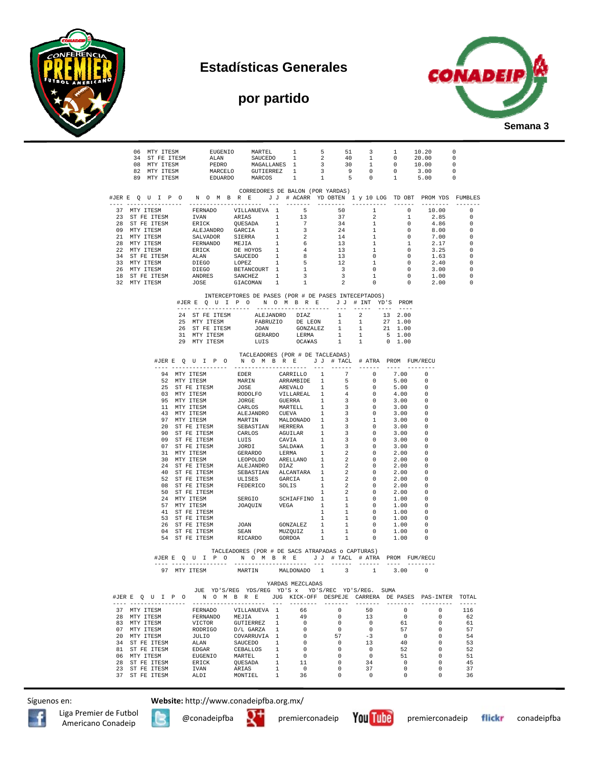







|                                          |  |                                |                       | $\begin{tabular}{cccccccc} 06 & MTY TTESM & &EUGEND & MARTEL & 1 & 5 & 51 & 3 & 1 & 10.20 \\ 34 & ST FE TTESM & & & & & & & & & & & \\ 08 & MTY TTESM & & & & & & & & & & & \\ 09 & MTY TTESM & & & & & & & & & & & \\ 09 & MTY TTESM & & & & & & & & & & & \\ 09 & MTY TTESM & & & & & & & & & & & & \\ 09 & MTY TTESM & & & & & & & & & & & & \\ 09 & MTY TTESM & & & & & & & & & & & & \\ 09 & MTY TTESM & & & & & & & & & &$                            |                |                                  |              |                              |                                            |                |                                                                                                                | 0                                |
|------------------------------------------|--|--------------------------------|-----------------------|-------------------------------------------------------------------------------------------------------------------------------------------------------------------------------------------------------------------------------------------------------------------------------------------------------------------------------------------------------------------------------------------------------------------------------------------------------------|----------------|----------------------------------|--------------|------------------------------|--------------------------------------------|----------------|----------------------------------------------------------------------------------------------------------------|----------------------------------|
|                                          |  |                                |                       |                                                                                                                                                                                                                                                                                                                                                                                                                                                             |                |                                  |              |                              |                                            |                | $\overline{\phantom{0}}$                                                                                       |                                  |
|                                          |  |                                |                       |                                                                                                                                                                                                                                                                                                                                                                                                                                                             |                |                                  |              |                              |                                            |                | $\overline{\phantom{0}}$                                                                                       | $\overline{\phantom{0}}$         |
|                                          |  |                                |                       |                                                                                                                                                                                                                                                                                                                                                                                                                                                             |                |                                  |              |                              |                                            |                | $\sim$ 0                                                                                                       |                                  |
|                                          |  |                                |                       |                                                                                                                                                                                                                                                                                                                                                                                                                                                             |                |                                  |              |                              |                                            |                |                                                                                                                |                                  |
|                                          |  |                                |                       | CORREDORES DE BALON (POR YARDAS)<br>#JERE QUIPONOMBRE JJ # ACARR YDOBTEN 1 y 10 LOG TDOBT PROMYDS FUMBLES                                                                                                                                                                                                                                                                                                                                                   |                |                                  |              |                              |                                            |                |                                                                                                                |                                  |
|                                          |  |                                |                       |                                                                                                                                                                                                                                                                                                                                                                                                                                                             |                |                                  |              |                              |                                            |                |                                                                                                                | $\Omega$                         |
|                                          |  |                                |                       |                                                                                                                                                                                                                                                                                                                                                                                                                                                             |                |                                  |              |                              |                                            |                |                                                                                                                | $\circ$                          |
|                                          |  |                                |                       |                                                                                                                                                                                                                                                                                                                                                                                                                                                             |                |                                  |              |                              |                                            |                |                                                                                                                | $\circ$                          |
|                                          |  |                                |                       |                                                                                                                                                                                                                                                                                                                                                                                                                                                             |                |                                  |              |                              |                                            |                |                                                                                                                | $\overline{0}$                   |
|                                          |  |                                |                       |                                                                                                                                                                                                                                                                                                                                                                                                                                                             |                |                                  |              |                              |                                            |                |                                                                                                                | $\overline{0}$<br>$\overline{0}$ |
|                                          |  |                                |                       |                                                                                                                                                                                                                                                                                                                                                                                                                                                             |                |                                  |              |                              |                                            |                |                                                                                                                | $\overline{\phantom{0}}$         |
|                                          |  |                                |                       |                                                                                                                                                                                                                                                                                                                                                                                                                                                             |                |                                  |              |                              |                                            |                |                                                                                                                | $\circ$                          |
|                                          |  |                                |                       |                                                                                                                                                                                                                                                                                                                                                                                                                                                             |                |                                  |              |                              |                                            |                |                                                                                                                | $\overline{0}$                   |
|                                          |  |                                |                       |                                                                                                                                                                                                                                                                                                                                                                                                                                                             |                |                                  |              |                              |                                            |                | 3.00                                                                                                           | $\circ$                          |
|                                          |  |                                |                       |                                                                                                                                                                                                                                                                                                                                                                                                                                                             |                |                                  |              |                              |                                            |                | $\begin{array}{cccccc} 3 & & 0 & & 0 & & 3.00 \\ 3 & & 1 & & 0 & & 1.00 \\ 2 & & 0 & & 0 & & 2.00 \end{array}$ | 0<br>$^{\circ}$                  |
|                                          |  |                                |                       |                                                                                                                                                                                                                                                                                                                                                                                                                                                             |                |                                  |              |                              |                                            |                |                                                                                                                |                                  |
|                                          |  |                                |                       | INTERCEPTORES DE PASES (POR # DE PASES INTECEPTADOS)<br>#JERE QUIPO NOMBRE JJ # INT YD'S PROM                                                                                                                                                                                                                                                                                                                                                               |                |                                  |              |                              |                                            |                |                                                                                                                |                                  |
|                                          |  |                                |                       |                                                                                                                                                                                                                                                                                                                                                                                                                                                             |                |                                  |              |                              |                                            | $- - - -$      |                                                                                                                |                                  |
|                                          |  |                                |                       |                                                                                                                                                                                                                                                                                                                                                                                                                                                             |                |                                  |              |                              |                                            |                |                                                                                                                |                                  |
|                                          |  |                                |                       |                                                                                                                                                                                                                                                                                                                                                                                                                                                             |                |                                  |              |                              |                                            |                |                                                                                                                |                                  |
|                                          |  |                                |                       | $\begin{tabular}{cccccc} 24 & ST FE TTESM & ALEJANDRO & DIAZ & 1 & 2 & 13 & 2.00 \\ 25 & MTY TTESM & FABRUZIO & DE LEON & 1 & 1 & 27 & 1.00 \\ 26 & STF T ESTSM & JOAN & GONZALEZ & 1 & 1 & 21 & 1.00 \\ 31 & MTY TTESM & GERARDO & LERMA & 1 & 1 & 5 & 1.00 \\ 29 & MTY TTESM & LUIS & OCAYAS & 1 & 1 & 0 & 1.00 \\ \end{tabular}$                                                                                                                         |                |                                  |              |                              |                                            |                |                                                                                                                |                                  |
|                                          |  |                                |                       |                                                                                                                                                                                                                                                                                                                                                                                                                                                             |                |                                  |              |                              |                                            |                |                                                                                                                |                                  |
|                                          |  |                                |                       | TACLEADORES (POR # DE TACLEADAS)                                                                                                                                                                                                                                                                                                                                                                                                                            |                |                                  |              |                              |                                            |                |                                                                                                                |                                  |
|                                          |  |                                |                       | #JERE QUIPO NOMBRE JJ # TACL # ATRA PROM FUM/RECU                                                                                                                                                                                                                                                                                                                                                                                                           |                |                                  |              |                              |                                            |                |                                                                                                                |                                  |
|                                          |  |                                |                       | $\begin{tabular}{cccccccc} $ \mathsf{A} \subseteq \mathsf{U} & \mathsf{A} \subseteq \mathsf{U} \ \text{R} \ \text{MRT} \ \text{TES} \end{tabular} \begin{tabular}{cccccccc} \texttt{R} & \texttt{S} & \texttt{S} & \texttt{S} & \texttt{S} & \texttt{S} & \texttt{S} & \texttt{S} & \texttt{S} & \texttt{S} & \texttt{S} & \texttt{S} & \texttt{S} & \texttt{S} & \texttt{S} & \texttt{S} & \texttt{S} & \texttt{S} & \texttt{S} & \texttt{S} & \texttt{S}$ |                |                                  |              |                              |                                            | 7.00 0         |                                                                                                                |                                  |
|                                          |  |                                |                       |                                                                                                                                                                                                                                                                                                                                                                                                                                                             |                |                                  |              |                              |                                            | 5.00           | $\Omega$                                                                                                       |                                  |
|                                          |  |                                |                       |                                                                                                                                                                                                                                                                                                                                                                                                                                                             |                |                                  |              |                              |                                            | 5.00           | $\Omega$                                                                                                       |                                  |
|                                          |  |                                |                       |                                                                                                                                                                                                                                                                                                                                                                                                                                                             |                |                                  |              |                              |                                            | 4.00           | $\Omega$                                                                                                       |                                  |
|                                          |  |                                |                       |                                                                                                                                                                                                                                                                                                                                                                                                                                                             |                |                                  |              |                              |                                            | 3.00<br>3.00   | $\overline{\phantom{0}}$<br>$\overline{\phantom{0}}$                                                           |                                  |
|                                          |  |                                |                       |                                                                                                                                                                                                                                                                                                                                                                                                                                                             |                |                                  |              |                              |                                            | 3.00           | $\overline{\phantom{0}}$                                                                                       |                                  |
|                                          |  |                                |                       |                                                                                                                                                                                                                                                                                                                                                                                                                                                             |                |                                  |              |                              |                                            | 3.00           | - 0                                                                                                            |                                  |
|                                          |  |                                |                       |                                                                                                                                                                                                                                                                                                                                                                                                                                                             |                |                                  |              |                              |                                            | 3.00           | $\overline{\phantom{0}}$                                                                                       |                                  |
|                                          |  |                                |                       |                                                                                                                                                                                                                                                                                                                                                                                                                                                             |                |                                  |              |                              |                                            | 3.00           | $\overline{\phantom{0}}$                                                                                       |                                  |
|                                          |  |                                |                       |                                                                                                                                                                                                                                                                                                                                                                                                                                                             |                |                                  |              |                              |                                            | 3.00           | $\Omega$                                                                                                       |                                  |
|                                          |  |                                |                       |                                                                                                                                                                                                                                                                                                                                                                                                                                                             |                |                                  |              |                              |                                            | 3.00           | $\overline{\phantom{0}}$<br>$\Omega$                                                                           |                                  |
|                                          |  |                                |                       |                                                                                                                                                                                                                                                                                                                                                                                                                                                             |                |                                  |              |                              |                                            | 2.00<br>2.00   | $\overline{\phantom{0}}$                                                                                       |                                  |
|                                          |  |                                |                       |                                                                                                                                                                                                                                                                                                                                                                                                                                                             |                |                                  |              |                              |                                            | 2.00           | - 0                                                                                                            |                                  |
|                                          |  |                                |                       |                                                                                                                                                                                                                                                                                                                                                                                                                                                             |                |                                  |              |                              |                                            | 2.00           | - 0                                                                                                            |                                  |
|                                          |  |                                |                       |                                                                                                                                                                                                                                                                                                                                                                                                                                                             |                |                                  |              |                              |                                            | 2.00           | $\overline{\phantom{0}}$                                                                                       |                                  |
|                                          |  |                                |                       |                                                                                                                                                                                                                                                                                                                                                                                                                                                             |                |                                  |              |                              |                                            | 2.00           | $\Omega$                                                                                                       |                                  |
|                                          |  | 50 ST FE ITESM<br>24 MTY ITESM |                       |                                                                                                                                                                                                                                                                                                                                                                                                                                                             |                |                                  |              |                              | $\overline{\phantom{0}}$<br>$\overline{0}$ | 2.00<br>1.00   | - 0<br>0                                                                                                       |                                  |
|                                          |  | 57 MTY ITESM                   |                       |                                                                                                                                                                                                                                                                                                                                                                                                                                                             |                |                                  |              |                              | $\overline{0}$                             | 1.00           | $\overline{\phantom{0}}$                                                                                       |                                  |
|                                          |  |                                | 41 ST FE ITESM        | SERGIO SCHIAFFINO I 2<br>SERGIO SCHIAFFINO I 1<br>JOAQUIN VEGA 1 1                                                                                                                                                                                                                                                                                                                                                                                          |                |                                  |              |                              | $\overline{\phantom{0}}$                   | 1.00           | - 0                                                                                                            |                                  |
|                                          |  | 53 ST FE ITESM                 |                       |                                                                                                                                                                                                                                                                                                                                                                                                                                                             |                |                                  |              |                              | $\overline{0}$                             | 1.00           | - 0                                                                                                            |                                  |
|                                          |  |                                | 26 ST FE ITESM        |                                                                                                                                                                                                                                                                                                                                                                                                                                                             |                |                                  |              |                              | $\overline{\mathbf{0}}$                    | 1.00           | $\overline{\phantom{0}}$                                                                                       |                                  |
|                                          |  |                                | 04 ST FE ITESM        | $\begin{tabular}{ccccc} J & & & & & 1 & & 1 \\ J & & & & & & & 1 & & 1 \\ S & & & & & & & 1 & & 1 \\ S & & & & & & & 1 & & 1 \\ S & & & & & & 1 & & 1 & 1 \\ J & & & & & & 1 & & 1 & 1 \\ \end{tabular}$<br>RICARDO GORDOA                                                                                                                                                                                                                                  |                |                                  |              | $1$ $\,$                     | $\overline{0}$<br>$\sim$ 0                 | 1.00<br>1.00   | $\overline{\phantom{0}}$<br>$\Omega$                                                                           |                                  |
|                                          |  |                                | 54 ST FE ITESM        |                                                                                                                                                                                                                                                                                                                                                                                                                                                             |                |                                  | $\mathbf{1}$ |                              |                                            |                |                                                                                                                |                                  |
|                                          |  |                                |                       | TACLEADORES (POR # DE SACS ATRAPADAS o CAPTURAS)<br>#JERE QUIPO NOMBRE JJ # TACL # ATRA PROM FUM/RECU                                                                                                                                                                                                                                                                                                                                                       |                |                                  |              |                              |                                            |                |                                                                                                                |                                  |
|                                          |  |                                | ---- ---------------- |                                                                                                                                                                                                                                                                                                                                                                                                                                                             |                |                                  |              |                              |                                            |                |                                                                                                                |                                  |
|                                          |  |                                |                       |                                                                                                                                                                                                                                                                                                                                                                                                                                                             |                |                                  |              |                              |                                            |                |                                                                                                                |                                  |
|                                          |  |                                |                       |                                                                                                                                                                                                                                                                                                                                                                                                                                                             |                | YARDAS MEZCLADAS                 |              |                              |                                            |                |                                                                                                                |                                  |
|                                          |  |                                |                       | JUE YD'S/REG YDS/REG YD'S x YD'S/REC YD'S/REG. SUMA                                                                                                                                                                                                                                                                                                                                                                                                         |                |                                  |              |                              |                                            |                |                                                                                                                |                                  |
| #JERE Q U I P O<br>---- ---------------- |  |                                |                       | N O M B R E JUG KICK-OFF DESPEJE CARRERA DE PASES PAS-INTER TOTAL<br>---------------------                                                                                                                                                                                                                                                                                                                                                                  | $- - -$        | ---------                        |              | --------                     | --------                                   | ---------      | ----------                                                                                                     | $- - - - - -$                    |
| 37 MTY ITESM                             |  |                                | FERNADO               | VILLANUEVA 1                                                                                                                                                                                                                                                                                                                                                                                                                                                |                | 66                               |              | $\circ$                      | 50                                         | $\circ$        | 0                                                                                                              | 116                              |
| 28 MTY ITESM                             |  |                                |                       | FERNANDO MEJIA                                                                                                                                                                                                                                                                                                                                                                                                                                              | $\overline{1}$ | 49                               |              | $\Omega$                     | 13 <sup>°</sup>                            | $\overline{0}$ | 0                                                                                                              | 62                               |
| 83 MTY ITESM                             |  |                                | VICTOR                | GUTIERREZ                                                                                                                                                                                                                                                                                                                                                                                                                                                   | $\mathbf{1}$   | $\overline{\mathbf{0}}$          |              | 0                            | $\overline{\phantom{0}}$                   | 61             | 0                                                                                                              | 61                               |
| 07 MTY ITESM                             |  |                                | RODRIGO               | D/L GARZA 1                                                                                                                                                                                                                                                                                                                                                                                                                                                 |                | $\overline{0}$                   |              | $\overline{0}$               | $\circ$                                    | 57             | 0                                                                                                              | 57                               |
| 20 MTY ITESM                             |  | JULIO                          |                       | COVARRUVIA 1<br>SAUCEDO                                                                                                                                                                                                                                                                                                                                                                                                                                     | $\mathbf{1}$   | $\overline{\phantom{0}}$         |              | 57                           | $-3$                                       | $\overline{0}$ | $\Omega$<br>0                                                                                                  | 54                               |
| 34 ST FE ITESM<br>81 ST FE ITESM         |  | ALAN<br>EDGAR                  |                       | CEBALLOS 1                                                                                                                                                                                                                                                                                                                                                                                                                                                  |                | $\overline{0}$<br>$\overline{0}$ |              | $\overline{0}$<br>$^{\circ}$ | 13<br>$\overline{0}$                       | 40<br>52       | $\mathbf 0$                                                                                                    | 53<br>52                         |
| 06 MTY ITESM                             |  |                                | EUGENIO               | <b>MARTEL</b>                                                                                                                                                                                                                                                                                                                                                                                                                                               | $\mathbf{1}$   | $\overline{0}$                   |              | $^{\circ}$                   | $\overline{0}$                             | 51             | $\mathbf 0$                                                                                                    | 51                               |
| 28 ST FE ITESM                           |  |                                | ERICK                 | OUESADA                                                                                                                                                                                                                                                                                                                                                                                                                                                     | $\mathbf{1}$   | 11                               |              | $^{\circ}$                   | 34                                         | $\overline{0}$ | $\Omega$                                                                                                       | 45                               |
| 23 ST FE ITESM                           |  | IVAN                           |                       | ARIAS                                                                                                                                                                                                                                                                                                                                                                                                                                                       | $\mathbf{1}$   | $\overline{0}$                   |              | $\Omega$                     | 37                                         | 0              | $\Omega$                                                                                                       | 37                               |
| 37 ST FE ITESM                           |  | ALDI                           |                       | MONTIEL 1                                                                                                                                                                                                                                                                                                                                                                                                                                                   |                | 36                               |              | $^{\circ}$                   | $\circ$                                    | $^{\circ}$     | 0                                                                                                              | 36                               |

Síguenos en: **Website:** http://www.conadeipfba.org.mx/